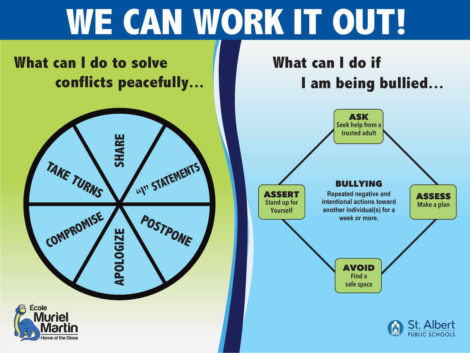**Repeated negative and intentional actions toward another individual(s) for a week or more.**

**Seek help from a trusted adult** ASK



**Make a plan** ASSESS







#### BULLYING

# **What can I do if**





## WE CAN WORK IT OUT!





### **What can I do to solve conflicts peacefully...**